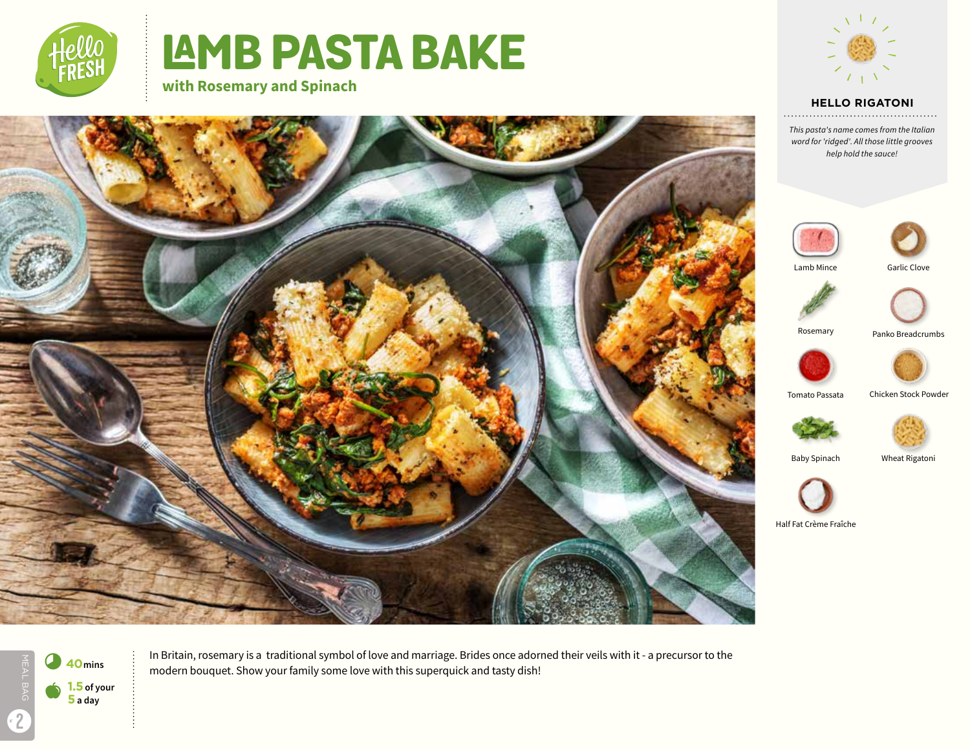

# **LAMB PASTA BAKE**

**with Rosemary and Spinach**



#### **HELLO RIGATONI**

*This pasta's name comes from the Italian word for 'ridged'. All those little grooves help hold the sauce!*





Lamb Mince





Rosemary

Panko Breadcrumbs



Tomato Passata Chicken Stock Powder





Baby Spinach

Wheat Rigatoni



Half Fat Crème Fraîche





In Britain, rosemary is a traditional symbol of love and marriage. Brides once adorned their veils with it - a precursor to the modern bouquet. Show your family some love with this superquick and tasty dish!